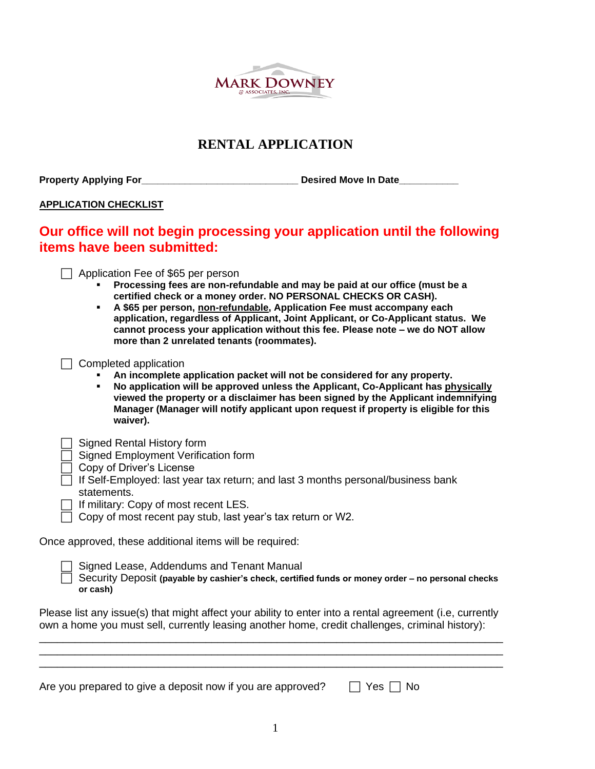

## **RENTAL APPLICATION**

Property Applying For\_\_\_\_\_\_\_\_\_\_\_\_\_\_\_\_\_\_\_\_\_\_\_\_\_\_\_\_\_\_\_\_\_\_\_Desired Move In Date\_\_\_\_\_

### **APPLICATION CHECKLIST**

# **Our office will not begin processing your application until the following items have been submitted:**

 $\Box$  Application Fee of \$65 per person

- **Processing fees are non-refundable and may be paid at our office (must be a certified check or a money order. NO PERSONAL CHECKS OR CASH).**
- **A \$65 per person, non-refundable, Application Fee must accompany each application, regardless of Applicant, Joint Applicant, or Co-Applicant status. We cannot process your application without this fee. Please note – we do NOT allow more than 2 unrelated tenants (roommates).**
- $\Box$  Completed application
	- An incomplete application packet will not be considered for any property.
	- **No application will be approved unless the Applicant, Co-Applicant has physically viewed the property or a disclaimer has been signed by the Applicant indemnifying Manager (Manager will notify applicant upon request if property is eligible for this waiver).**

|  | Signed Rental History form |  |  |  |
|--|----------------------------|--|--|--|
|--|----------------------------|--|--|--|

- $\Box$  Signed Employment Verification form
- $\Box$  Copy of Driver's License
	- If Self-Employed: last year tax return; and last 3 months personal/business bank statements.
- $\Box$  If military: Copy of most recent LES.
- $\Box$  Copy of most recent pay stub, last year's tax return or W2.

Once approved, these additional items will be required:

|  | Signed Lease, Addendums and Tenant Manual |  |
|--|-------------------------------------------|--|
|--|-------------------------------------------|--|

 Security Deposit **(payable by cashier's check, certified funds or money order – no personal checks or cash)**

Please list any issue(s) that might affect your ability to enter into a rental agreement (i.e, currently own a home you must sell, currently leasing another home, credit challenges, criminal history): \_\_\_\_\_\_\_\_\_\_\_\_\_\_\_\_\_\_\_\_\_\_\_\_\_\_\_\_\_\_\_\_\_\_\_\_\_\_\_\_\_\_\_\_\_\_\_\_\_\_\_\_\_\_\_\_\_\_\_\_\_\_\_\_\_\_\_\_\_\_\_\_\_\_\_\_\_\_

\_\_\_\_\_\_\_\_\_\_\_\_\_\_\_\_\_\_\_\_\_\_\_\_\_\_\_\_\_\_\_\_\_\_\_\_\_\_\_\_\_\_\_\_\_\_\_\_\_\_\_\_\_\_\_\_\_\_\_\_\_\_\_\_\_\_\_\_\_\_\_\_\_\_\_\_\_\_ \_\_\_\_\_\_\_\_\_\_\_\_\_\_\_\_\_\_\_\_\_\_\_\_\_\_\_\_\_\_\_\_\_\_\_\_\_\_\_\_\_\_\_\_\_\_\_\_\_\_\_\_\_\_\_\_\_\_\_\_\_\_\_\_\_\_\_\_\_\_\_\_\_\_\_\_\_\_

| $\Box$ Yes $\Box$ No<br>Are you prepared to give a deposit now if you are approved? |
|-------------------------------------------------------------------------------------|
|-------------------------------------------------------------------------------------|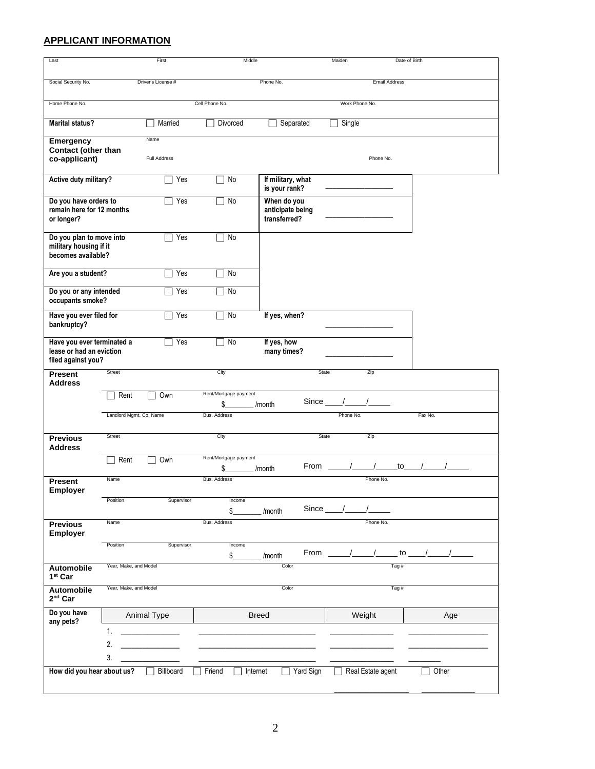## **APPLICANT INFORMATION**

| Last                                                                         |                         | First              | Middle                       |                                                 | Maiden            | Date of Birth            |  |
|------------------------------------------------------------------------------|-------------------------|--------------------|------------------------------|-------------------------------------------------|-------------------|--------------------------|--|
|                                                                              |                         | Driver's License # |                              | Phone No.                                       |                   | <b>Email Address</b>     |  |
| Social Security No.                                                          |                         |                    |                              |                                                 |                   |                          |  |
| Home Phone No.                                                               |                         |                    | Cell Phone No.               |                                                 | Work Phone No.    |                          |  |
| <b>Marital status?</b>                                                       |                         | Married            | Divorced                     | Separated                                       | Single            |                          |  |
| <b>Emergency</b>                                                             |                         | Name               |                              |                                                 |                   |                          |  |
| Contact (other than<br>co-applicant)                                         |                         | Full Address       |                              |                                                 |                   | Phone No.                |  |
| Active duty military?                                                        |                         | Yes                | No                           | If military, what<br>is your rank?              |                   |                          |  |
| Do you have orders to<br>remain here for 12 months<br>or longer?             |                         | Yes                | No                           | When do you<br>anticipate being<br>transferred? |                   |                          |  |
| Do you plan to move into<br>military housing if it<br>becomes available?     |                         | Yes                | No                           |                                                 |                   |                          |  |
| Are you a student?                                                           |                         | Yes                | No                           |                                                 |                   |                          |  |
| Do you or any intended<br>occupants smoke?                                   |                         | Yes                | No                           |                                                 |                   |                          |  |
| Have you ever filed for<br>bankruptcy?                                       |                         | Yes                | <b>No</b>                    | If yes, when?                                   |                   |                          |  |
| Have you ever terminated a<br>lease or had an eviction<br>filed against you? |                         | Yes                | $\sqsupset$ No               | If yes, how<br>many times?                      |                   |                          |  |
| <b>Present</b><br><b>Address</b>                                             | Street                  |                    | City                         | State                                           | Zip               |                          |  |
|                                                                              | Rent                    | Own                | Rent/Mortgage payment<br>\$  | /month                                          | Since $/$ /       |                          |  |
|                                                                              | Landlord Mgmt. Co. Name |                    | <b>Bus. Address</b>          |                                                 | Phone No.         | Fax No.                  |  |
| <b>Previous</b><br><b>Address</b>                                            | Street                  |                    | City                         | State                                           | Zip               |                          |  |
|                                                                              | Rent                    | Own                | Rent/Mortgage payment<br>\$. | From<br>/month                                  | $\frac{1}{2}$     | $\frac{1}{\sqrt{2}}$ / / |  |
| <b>Present</b><br>Employer                                                   | Name                    |                    | <b>Bus. Address</b>          |                                                 |                   | Phone No.                |  |
|                                                                              | Position                | Supervisor         | Income<br>\$                 | /month                                          | Since $_{\_}/$    |                          |  |
| <b>Previous</b><br><b>Employer</b>                                           | Name                    |                    | Bus. Address                 |                                                 |                   | Phone No.                |  |
|                                                                              | Position                | Supervisor         | Income<br>\$                 | From<br>/month                                  |                   | to $-$                   |  |
| Automobile<br>1 <sup>st</sup> Car                                            | Year, Make, and Model   |                    |                              | Color                                           |                   | Tag $#$                  |  |
| Automobile<br>$2nd$ Car                                                      | Year, Make, and Model   |                    |                              | Color                                           |                   | Tag#                     |  |
| Do you have<br>any pets?                                                     |                         | Animal Type        |                              | <b>Breed</b>                                    | Weight            | Age                      |  |
|                                                                              | 1.<br>2.                |                    |                              |                                                 |                   |                          |  |
|                                                                              | 3.                      |                    |                              |                                                 |                   |                          |  |
| How did you hear about us?                                                   |                         | Billboard          | Friend                       | Yard Sign<br>Internet                           | Real Estate agent | Other                    |  |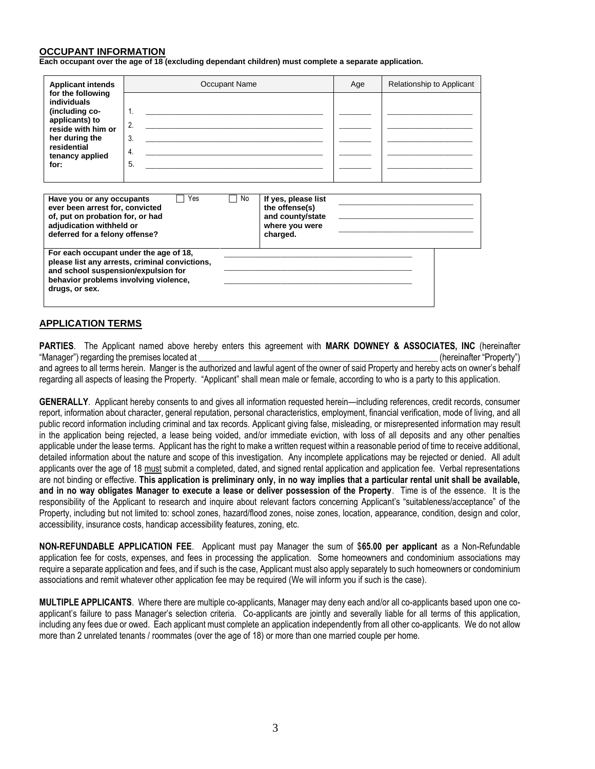#### **OCCUPANT INFORMATION**

**Each occupant over the age of 18 (excluding dependant children) must complete a separate application.**

| <b>Applicant intends</b>                                                                                                                                       | Occupant Name                                  | Age                                                                                     | Relationship to Applicant |  |
|----------------------------------------------------------------------------------------------------------------------------------------------------------------|------------------------------------------------|-----------------------------------------------------------------------------------------|---------------------------|--|
| for the following<br>individuals<br>(including co-<br>applicants) to<br>reside with him or<br>her during the<br>residential<br>tenancy applied<br>for:         | 1.<br>2.<br>3.<br>4.<br>5.                     |                                                                                         |                           |  |
| Have you or any occupants<br>ever been arrest for, convicted<br>of, put on probation for, or had<br>adjudication withheld or<br>deferred for a felony offense? | Yes<br>No                                      | If yes, please list<br>the offense(s)<br>and county/state<br>where you were<br>charged. |                           |  |
| For each occupant under the age of 18,<br>and school suspension/expulsion for<br>behavior problems involving violence,<br>drugs, or sex.                       | please list any arrests, criminal convictions, |                                                                                         |                           |  |

#### **APPLICATION TERMS**

**PARTIES**.The Applicant named above hereby enters this agreement with **MARK DOWNEY & ASSOCIATES, INC** (hereinafter "Manager") regarding the premises located at **Algebra 2** (hereinafter "Property") and agrees to all terms herein. Manger is the authorized and lawful agent of the owner of said Property and hereby acts on owner's behalf

regarding all aspects of leasing the Property. "Applicant" shall mean male or female, according to who is a party to this application.

**GENERALLY**. Applicant hereby consents to and gives all information requested herein—including references, credit records, consumer report, information about character, general reputation, personal characteristics, employment, financial verification, mode of living, and all public record information including criminal and tax records. Applicant giving false, misleading, or misrepresented information may result in the application being rejected, a lease being voided, and/or immediate eviction, with loss of all deposits and any other penalties applicable under the lease terms. Applicant has the right to make a written request within a reasonable period of time to receive additional. detailed information about the nature and scope of this investigation. Any incomplete applications may be rejected or denied. All adult applicants over the age of 18 must submit a completed, dated, and signed rental application and application fee. Verbal representations are not binding or effective. **This application is preliminary only, in no way implies that a particular rental unit shall be available, and in no way obligates Manager to execute a lease or deliver possession of the Property**. Time is of the essence. It is the responsibility of the Applicant to research and inquire about relevant factors concerning Applicant's "suitableness/acceptance" of the Property, including but not limited to: school zones, hazard/flood zones, noise zones, location, appearance, condition, design and color, accessibility, insurance costs, handicap accessibility features, zoning, etc.

**NON-REFUNDABLE APPLICATION FEE**. Applicant must pay Manager the sum of \$**65.00 per applicant** as a Non-Refundable application fee for costs, expenses, and fees in processing the application. Some homeowners and condominium associations may require a separate application and fees, and if such is the case, Applicant must also apply separately to such homeowners or condominium associations and remit whatever other application fee may be required (We will inform you if such is the case).

**MULTIPLE APPLICANTS**. Where there are multiple co-applicants, Manager may deny each and/or all co-applicants based upon one coapplicant's failure to pass Manager's selection criteria. Co-applicants are jointly and severally liable for all terms of this application, including any fees due or owed. Each applicant must complete an application independently from all other co-applicants. We do not allow more than 2 unrelated tenants / roommates (over the age of 18) or more than one married couple per home.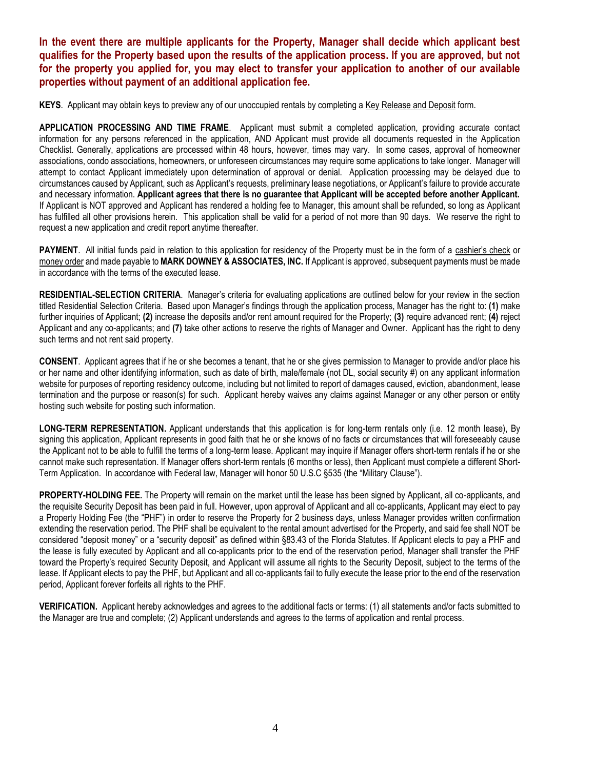**In the event there are multiple applicants for the Property, Manager shall decide which applicant best qualifies for the Property based upon the results of the application process. If you are approved, but not for the property you applied for, you may elect to transfer your application to another of our available properties without payment of an additional application fee.**

**KEYS**. Applicant may obtain keys to preview any of our unoccupied rentals by completing a Key Release and Deposit form.

**APPLICATION PROCESSING AND TIME FRAME**. Applicant must submit a completed application, providing accurate contact information for any persons referenced in the application, AND Applicant must provide all documents requested in the Application Checklist. Generally, applications are processed within 48 hours, however, times may vary. In some cases, approval of homeowner associations, condo associations, homeowners, or unforeseen circumstances may require some applications to take longer. Manager will attempt to contact Applicant immediately upon determination of approval or denial. Application processing may be delayed due to circumstances caused by Applicant, such as Applicant's requests, preliminary lease negotiations, or Applicant's failure to provide accurate and necessary information. **Applicant agrees that there is no guarantee that Applicant will be accepted before another Applicant.**  If Applicant is NOT approved and Applicant has rendered a holding fee to Manager, this amount shall be refunded, so long as Applicant has fulfilled all other provisions herein. This application shall be valid for a period of not more than 90 days. We reserve the right to request a new application and credit report anytime thereafter.

PAYMENT. All initial funds paid in relation to this application for residency of the Property must be in the form of a cashier's check or money order and made payable to **MARK DOWNEY & ASSOCIATES, INC.** If Applicant is approved, subsequent payments must be made in accordance with the terms of the executed lease.

**RESIDENTIAL-SELECTION CRITERIA**. Manager's criteria for evaluating applications are outlined below for your review in the section titled Residential Selection Criteria. Based upon Manager's findings through the application process, Manager has the right to: **(1)** make further inquiries of Applicant; **(2)** increase the deposits and/or rent amount required for the Property; **(3)** require advanced rent; **(4)** reject Applicant and any co-applicants; and **(7)** take other actions to reserve the rights of Manager and Owner. Applicant has the right to deny such terms and not rent said property.

**CONSENT**. Applicant agrees that if he or she becomes a tenant, that he or she gives permission to Manager to provide and/or place his or her name and other identifying information, such as date of birth, male/female (not DL, social security #) on any applicant information website for purposes of reporting residency outcome, including but not limited to report of damages caused, eviction, abandonment, lease termination and the purpose or reason(s) for such. Applicant hereby waives any claims against Manager or any other person or entity hosting such website for posting such information.

**LONG-TERM REPRESENTATION.** Applicant understands that this application is for long-term rentals only (i.e. 12 month lease), By signing this application, Applicant represents in good faith that he or she knows of no facts or circumstances that will foreseeably cause the Applicant not to be able to fulfill the terms of a long-term lease. Applicant may inquire if Manager offers short-term rentals if he or she cannot make such representation. If Manager offers short-term rentals (6 months or less), then Applicant must complete a different Short-Term Application. In accordance with Federal law, Manager will honor 50 U.S.C §535 (the "Military Clause").

**PROPERTY-HOLDING FEE.** The Property will remain on the market until the lease has been signed by Applicant, all co-applicants, and the requisite Security Deposit has been paid in full. However, upon approval of Applicant and all co-applicants, Applicant may elect to pay a Property Holding Fee (the "PHF") in order to reserve the Property for 2 business days, unless Manager provides written confirmation extending the reservation period. The PHF shall be equivalent to the rental amount advertised for the Property, and said fee shall NOT be considered "deposit money" or a "security deposit" as defined within §83.43 of the Florida Statutes. If Applicant elects to pay a PHF and the lease is fully executed by Applicant and all co-applicants prior to the end of the reservation period, Manager shall transfer the PHF toward the Property's required Security Deposit, and Applicant will assume all rights to the Security Deposit, subject to the terms of the lease. If Applicant elects to pay the PHF, but Applicant and all co-applicants fail to fully execute the lease prior to the end of the reservation period, Applicant forever forfeits all rights to the PHF.

**VERIFICATION.** Applicant hereby acknowledges and agrees to the additional facts or terms: (1) all statements and/or facts submitted to the Manager are true and complete; (2) Applicant understands and agrees to the terms of application and rental process.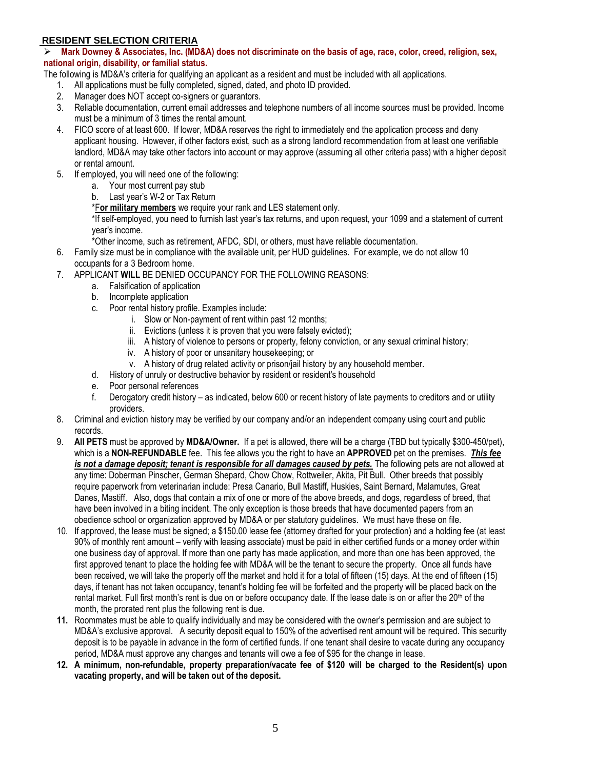### **RESIDENT SELECTION CRITERIA**

➢ **Mark Downey & Associates, Inc. (MD&A) does not discriminate on the basis of age, race, color, creed, religion, sex, national origin, disability, or familial status.** 

The following is MD&A's criteria for qualifying an applicant as a resident and must be included with all applications.

- 1. All applications must be fully completed, signed, dated, and photo ID provided.
- 2. Manager does NOT accept co-signers or guarantors.
- 3. Reliable documentation, current email addresses and telephone numbers of all income sources must be provided. Income must be a minimum of 3 times the rental amount.
- 4. FICO score of at least 600. If lower, MD&A reserves the right to immediately end the application process and deny applicant housing. However, if other factors exist, such as a strong landlord recommendation from at least one verifiable landlord, MD&A may take other factors into account or may approve (assuming all other criteria pass) with a higher deposit or rental amount.
- 5. If employed, you will need one of the following:
	- a. Your most current pay stub
	- b. Last year's W-2 or Tax Return
	- \*F**or military members** we require your rank and LES statement only.

\*If self-employed, you need to furnish last year's tax returns, and upon request, your 1099 and a statement of current year's income.

\*Other income, such as retirement, AFDC, SDI, or others, must have reliable documentation.

- 6. Family size must be in compliance with the available unit, per HUD guidelines. For example, we do not allow 10 occupants for a 3 Bedroom home.
- 7. APPLICANT **WILL** BE DENIED OCCUPANCY FOR THE FOLLOWING REASONS:
	- a. Falsification of application
	- b. Incomplete application
	- c. Poor rental history profile. Examples include:
		- i. Slow or Non-payment of rent within past 12 months;
		- ii. Evictions (unless it is proven that you were falsely evicted);
		- iii. A history of violence to persons or property, felony conviction, or any sexual criminal history;
		- iv. A history of poor or unsanitary housekeeping; or
		- v. A history of drug related activity or prison/jail history by any household member.
	- d. History of unruly or destructive behavior by resident or resident's household
	- e. Poor personal references
	- f. Derogatory credit history as indicated, below 600 or recent history of late payments to creditors and or utility providers.
- 8. Criminal and eviction history may be verified by our company and/or an independent company using court and public records.
- 9. **All PETS** must be approved by **MD&A/Owner.** If a pet is allowed, there will be a charge (TBD but typically \$300-450/pet), which is a **NON-REFUNDABLE** fee. This fee allows you the right to have an **APPROVED** pet on the premises. *This fee is not a damage deposit; tenant is responsible for all damages caused by pets.* The following pets are not allowed at any time: Doberman Pinscher, German Shepard, Chow Chow, Rottweiler, Akita, Pit Bull. Other breeds that possibly require paperwork from veterinarian include: Presa Canario, Bull Mastiff, Huskies, Saint Bernard, Malamutes, Great Danes, Mastiff. Also, dogs that contain a mix of one or more of the above breeds, and dogs, regardless of breed, that have been involved in a biting incident. The only exception is those breeds that have documented papers from an obedience school or organization approved by MD&A or per statutory guidelines. We must have these on file.
- 10. If approved, the lease must be signed; a \$150.00 lease fee (attorney drafted for your protection) and a holding fee (at least 90% of monthly rent amount – verify with leasing associate) must be paid in either certified funds or a money order within one business day of approval. If more than one party has made application, and more than one has been approved, the first approved tenant to place the holding fee with MD&A will be the tenant to secure the property. Once all funds have been received, we will take the property off the market and hold it for a total of fifteen (15) days. At the end of fifteen (15) days, if tenant has not taken occupancy, tenant's holding fee will be forfeited and the property will be placed back on the rental market. Full first month's rent is due on or before occupancy date. If the lease date is on or after the 20<sup>th</sup> of the month, the prorated rent plus the following rent is due.
- **11.** Roommates must be able to qualify individually and may be considered with the owner's permission and are subject to MD&A's exclusive approval. A security deposit equal to 150% of the advertised rent amount will be required. This security deposit is to be payable in advance in the form of certified funds. If one tenant shall desire to vacate during any occupancy period, MD&A must approve any changes and tenants will owe a fee of \$95 for the change in lease.
- **12. A minimum, non-refundable, property preparation/vacate fee of \$120 will be charged to the Resident(s) upon vacating property, and will be taken out of the deposit.**